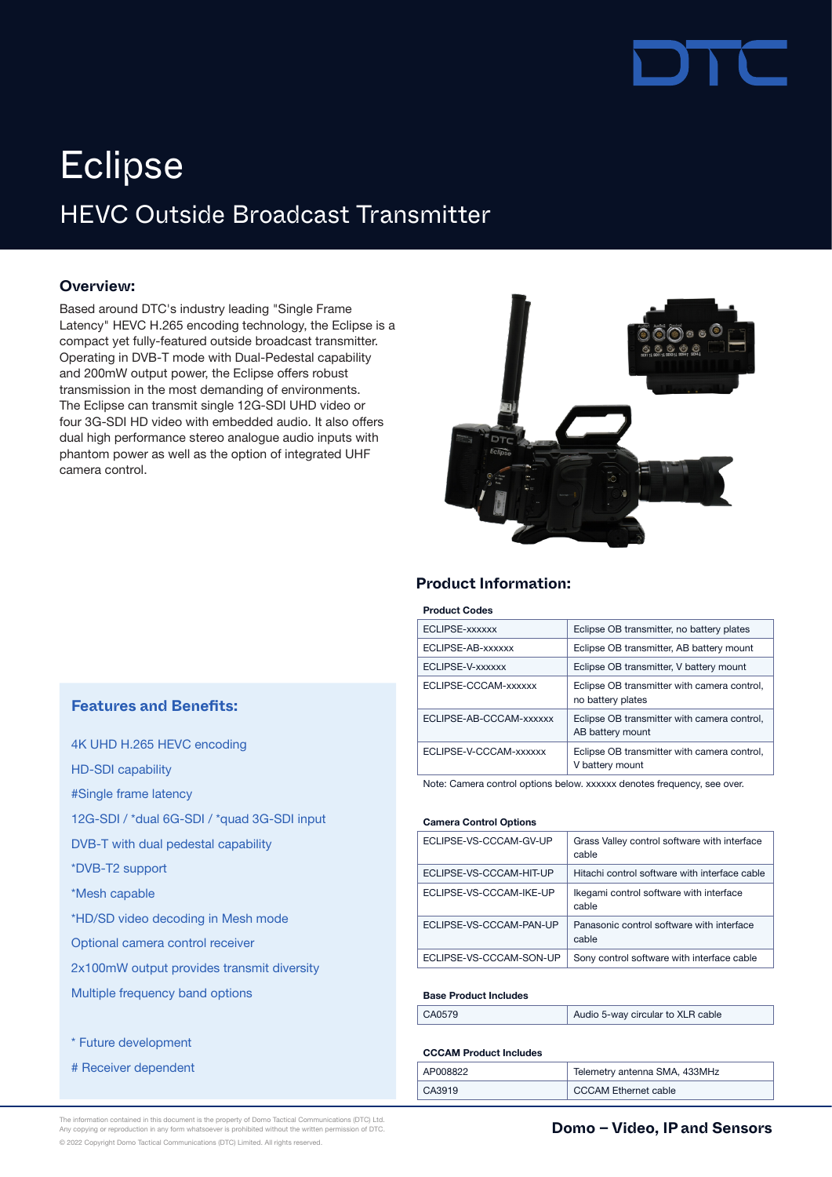

# HEVC Outside Broadcast Transmitter **Eclipse**

#### **Overview:**

Based around DTC's industry leading "Single Frame Latency" HEVC H.265 encoding technology, the Eclipse is a compact yet fully-featured outside broadcast transmitter. Operating in DVB-T mode with Dual-Pedestal capability and 200mW output power, the Eclipse offers robust transmission in the most demanding of environments. The Eclipse can transmit single 12G-SDI UHD video or four 3G-SDI HD video with embedded audio. It also offers dual high performance stereo analogue audio inputs with phantom power as well as the option of integrated UHF camera control.



#### **Product Information:**

#### Product Codes

| ECLIPSE-xxxxxx          | Eclipse OB transmitter, no battery plates                        |
|-------------------------|------------------------------------------------------------------|
| ECLIPSE-AB-xxxxxx       | Eclipse OB transmitter, AB battery mount                         |
| ECLIPSE-V-xxxxxx        | Eclipse OB transmitter, V battery mount                          |
| ECLIPSE-CCCAM-xxxxxx    | Eclipse OB transmitter with camera control,<br>no battery plates |
| ECLIPSE-AB-CCCAM-xxxxxx | Eclipse OB transmitter with camera control,<br>AB battery mount  |
| ECLIPSE-V-CCCAM-xxxxxx  | Eclipse OB transmitter with camera control,<br>V battery mount   |

Note: Camera control options below. xxxxxx denotes frequency, see over.

#### Camera Control Options

| ECLIPSE-VS-CCCAM-GV-UP  | Grass Valley control software with interface<br>cable |
|-------------------------|-------------------------------------------------------|
| ECLIPSE-VS-CCCAM-HIT-UP | Hitachi control software with interface cable         |
| ECLIPSE-VS-CCCAM-IKE-UP | Ikegami control software with interface<br>cable      |
| ECLIPSE-VS-CCCAM-PAN-UP | Panasonic control software with interface<br>cable    |
| ECLIPSE-VS-CCCAM-SON-UP | Sony control software with interface cable            |

#### Base Product Includes

| CA0579 | Audio 5-way circular to XLR cable |
|--------|-----------------------------------|
|--------|-----------------------------------|

#### CCCAM Product Includes

| AP008822 | Telemetry antenna SMA, 433MHz |
|----------|-------------------------------|
| CA3919   | <b>CCCAM Ethernet cable</b>   |

### **Features and Benefits:**

| 4K UHD H.265 HEVC encoding                  |
|---------------------------------------------|
| <b>HD-SDI capability</b>                    |
| #Single frame latency                       |
| 12G-SDI / *dual 6G-SDI / *quad 3G-SDI input |
| DVB-T with dual pedestal capability         |
| *DVB-T2 support                             |
| *Mesh capable                               |
| *HD/SD video decoding in Mesh mode          |
| Optional camera control receiver            |
| 2x100mW output provides transmit diversity  |
| Multiple frequency band options             |
|                                             |

\* Future development

# Receiver dependent

The information contained in this document is the property of Domo Tactical Communications (DTC) Ltd.<br>Any copying or reproduction in any form whatsoever is prohibited without the written permission of DTC. **In the communi** © 2022 Copyright Domo Tactical Communications (DTC) Limited. All rights reserved.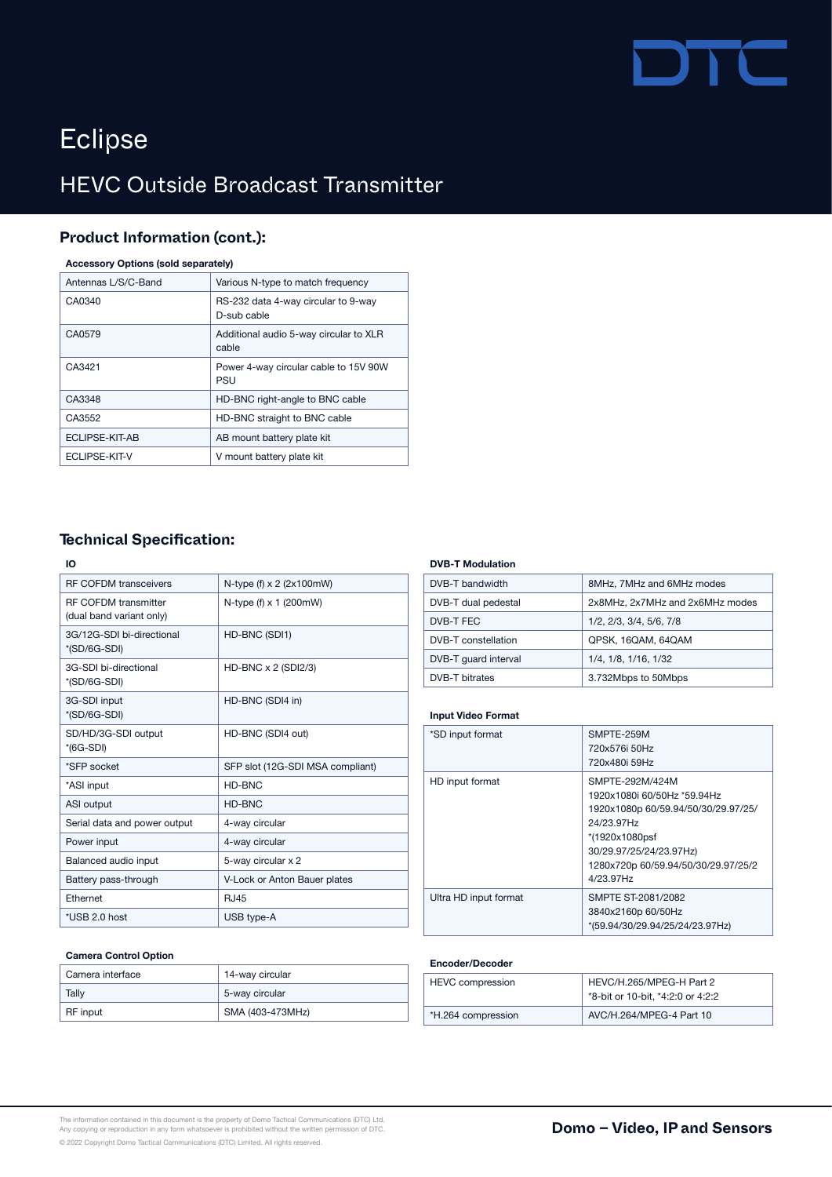# DTC

# Eclipse

# HEVC Outside Broadcast Transmitter

## **Product Information (cont.):**

#### Accessory Options (sold separately)

| Antennas L/S/C-Band | Various N-type to match frequency                  |
|---------------------|----------------------------------------------------|
| CA0340              | RS-232 data 4-way circular to 9-way<br>D-sub cable |
| CA0579              | Additional audio 5-way circular to XLR<br>cable    |
| CA3421              | Power 4-way circular cable to 15V 90W<br>PSU       |
| CA3348              | HD-BNC right-angle to BNC cable                    |
| CA3552              | HD-BNC straight to BNC cable                       |
| ECLIPSE-KIT-AB      | AB mount battery plate kit                         |
| ECLIPSE-KIT-V       | V mount battery plate kit                          |
|                     |                                                    |

## **Technical Specification:**

#### IO

| <b>RF COFDM transceivers</b> | N-type $(f) \times 2$ (2x100mW)  |
|------------------------------|----------------------------------|
| <b>RF COFDM transmitter</b>  | N-type (f) $\times$ 1 (200mW)    |
| (dual band variant only)     |                                  |
| 3G/12G-SDI bi-directional    | HD-BNC (SDI1)                    |
| *(SD/6G-SDI)                 |                                  |
| 3G-SDI bi-directional        | HD-BNC $\times$ 2 (SDI2/3)       |
| *(SD/6G-SDI)                 |                                  |
| 3G-SDI input                 | HD-BNC (SDI4 in)                 |
| *(SD/6G-SDI)                 |                                  |
| SD/HD/3G-SDI output          | HD-BNC (SDI4 out)                |
| $*(6G-SDI)$                  |                                  |
| *SFP socket                  | SFP slot (12G-SDI MSA compliant) |
| *ASI input                   | HD-BNC                           |
| <b>ASI</b> output            | HD-BNC                           |
| Serial data and power output | 4-way circular                   |
| Power input                  | 4-way circular                   |
| Balanced audio input         | 5-way circular x 2               |
| Battery pass-through         | V-Lock or Anton Bauer plates     |
| <b>Fthernet</b>              | <b>RJ45</b>                      |
| *USB 2.0 host                | USB type-A                       |

#### Camera Control Option

| Camera interface | 14-way circular  |
|------------------|------------------|
| Tally            | 5-way circular   |
| RF input         | SMA (403-473MHz) |

#### DVB-T Modulation

| DVB-T bandwidth       | 8MHz, 7MHz and 6MHz modes       |
|-----------------------|---------------------------------|
| DVB-T dual pedestal   | 2x8MHz, 2x7MHz and 2x6MHz modes |
| DVB-T FEC             | 1/2, 2/3, 3/4, 5/6, 7/8         |
| DVB-T constellation   | QPSK, 16QAM, 64QAM              |
| DVB-T quard interval  | 1/4, 1/8, 1/16, 1/32            |
| <b>DVB-T bitrates</b> | 3.732Mbps to 50Mbps             |

#### Input Video Format

| *SD input format      | SMPTE-259M<br>720x576i 50Hz<br>720x480i 59Hz                                                                                                                                                         |
|-----------------------|------------------------------------------------------------------------------------------------------------------------------------------------------------------------------------------------------|
| HD input format       | SMPTE-292M/424M<br>1920x1080i 60/50Hz *59.94Hz<br>1920x1080p 60/59.94/50/30/29.97/25/<br>24/23.97Hz<br>*(1920x1080psf<br>30/29.97/25/24/23.97Hz)<br>1280x720p 60/59.94/50/30/29.97/25/2<br>4/23.97Hz |
| Ultra HD input format | SMPTE ST-2081/2082<br>3840x2160p 60/50Hz<br>*(59.94/30/29.94/25/24/23.97Hz)                                                                                                                          |

#### Encoder/Decoder

| <b>HEVC</b> compression | HEVC/H.265/MPEG-H Part 2<br>*8-bit or 10-bit, *4:2:0 or 4:2:2 |
|-------------------------|---------------------------------------------------------------|
| *H.264 compression      | AVC/H.264/MPEG-4 Part 10                                      |